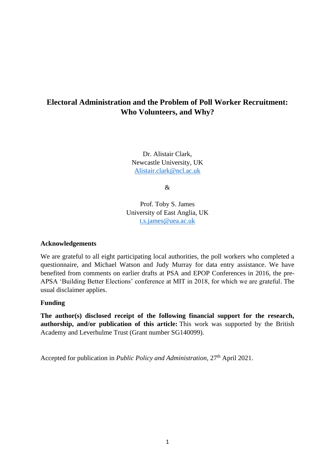# **Electoral Administration and the Problem of Poll Worker Recruitment: Who Volunteers, and Why?**

Dr. Alistair Clark, Newcastle University, UK [Alistair.clark@ncl.ac.uk](mailto:Alistair.clark@ncl.ac.uk)

&

Prof. Toby S. James University of East Anglia, UK [t.s.james@uea.ac.uk](mailto:t.s.james@uea.ac.uk)

### **Acknowledgements**

We are grateful to all eight participating local authorities, the poll workers who completed a questionnaire, and Michael Watson and Judy Murray for data entry assistance. We have benefited from comments on earlier drafts at PSA and EPOP Conferences in 2016, the pre-APSA 'Building Better Elections' conference at MIT in 2018, for which we are grateful. The usual disclaimer applies.

### **Funding**

**The author(s) disclosed receipt of the following financial support for the research, authorship, and/or publication of this article:** This work was supported by the British Academy and Leverhulme Trust (Grant number SG140099).

Accepted for publication in *Public Policy and Administration*, 27th April 2021.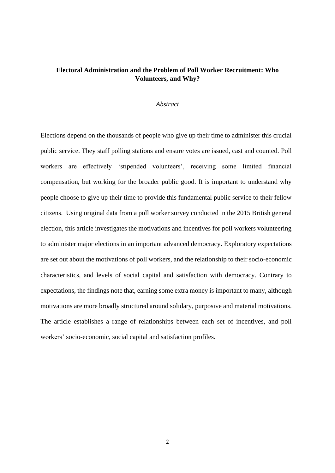## **Electoral Administration and the Problem of Poll Worker Recruitment: Who Volunteers, and Why?**

#### *Abstract*

Elections depend on the thousands of people who give up their time to administer this crucial public service. They staff polling stations and ensure votes are issued, cast and counted. Poll workers are effectively 'stipended volunteers', receiving some limited financial compensation, but working for the broader public good. It is important to understand why people choose to give up their time to provide this fundamental public service to their fellow citizens. Using original data from a poll worker survey conducted in the 2015 British general election, this article investigates the motivations and incentives for poll workers volunteering to administer major elections in an important advanced democracy. Exploratory expectations are set out about the motivations of poll workers, and the relationship to their socio-economic characteristics, and levels of social capital and satisfaction with democracy. Contrary to expectations, the findings note that, earning some extra money is important to many, although motivations are more broadly structured around solidary, purposive and material motivations. The article establishes a range of relationships between each set of incentives, and poll workers' socio-economic, social capital and satisfaction profiles.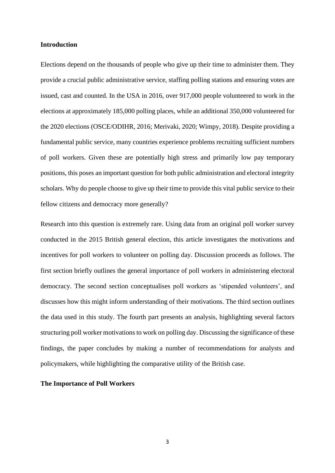#### **Introduction**

Elections depend on the thousands of people who give up their time to administer them. They provide a crucial public administrative service, staffing polling stations and ensuring votes are issued, cast and counted. In the USA in 2016, over 917,000 people volunteered to work in the elections at approximately 185,000 polling places, while an additional 350,000 volunteered for the 2020 elections (OSCE/ODIHR, 2016; Merivaki, 2020; Wimpy, 2018). Despite providing a fundamental public service, many countries experience problems recruiting sufficient numbers of poll workers. Given these are potentially high stress and primarily low pay temporary positions, this poses an important question for both public administration and electoral integrity scholars. Why do people choose to give up their time to provide this vital public service to their fellow citizens and democracy more generally?

Research into this question is extremely rare. Using data from an original poll worker survey conducted in the 2015 British general election, this article investigates the motivations and incentives for poll workers to volunteer on polling day. Discussion proceeds as follows. The first section briefly outlines the general importance of poll workers in administering electoral democracy. The second section conceptualises poll workers as 'stipended volunteers', and discusses how this might inform understanding of their motivations. The third section outlines the data used in this study. The fourth part presents an analysis, highlighting several factors structuring poll worker motivations to work on polling day. Discussing the significance of these findings, the paper concludes by making a number of recommendations for analysts and policymakers, while highlighting the comparative utility of the British case.

#### **The Importance of Poll Workers**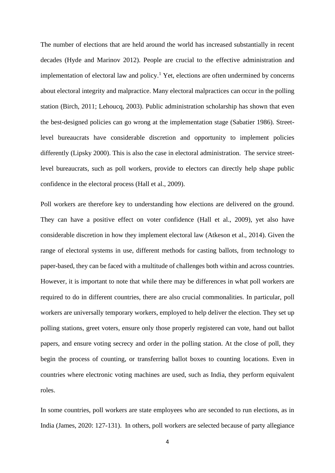The number of elections that are held around the world has increased substantially in recent decades (Hyde and Marinov 2012). People are crucial to the effective administration and implementation of electoral law and policy.<sup>1</sup> Yet, elections are often undermined by concerns about electoral integrity and malpractice. Many electoral malpractices can occur in the polling station (Birch, 2011; Lehoucq, 2003). Public administration scholarship has shown that even the best-designed policies can go wrong at the implementation stage (Sabatier 1986). Streetlevel bureaucrats have considerable discretion and opportunity to implement policies differently (Lipsky 2000). This is also the case in electoral administration. The service streetlevel bureaucrats, such as poll workers, provide to electors can directly help shape public confidence in the electoral process (Hall et al., 2009).

Poll workers are therefore key to understanding how elections are delivered on the ground. They can have a positive effect on voter confidence (Hall et al., 2009), yet also have considerable discretion in how they implement electoral law (Atkeson et al., 2014). Given the range of electoral systems in use, different methods for casting ballots, from technology to paper-based, they can be faced with a multitude of challenges both within and across countries. However, it is important to note that while there may be differences in what poll workers are required to do in different countries, there are also crucial commonalities. In particular, poll workers are universally temporary workers, employed to help deliver the election. They set up polling stations, greet voters, ensure only those properly registered can vote, hand out ballot papers, and ensure voting secrecy and order in the polling station. At the close of poll, they begin the process of counting, or transferring ballot boxes to counting locations. Even in countries where electronic voting machines are used, such as India, they perform equivalent roles.

In some countries, poll workers are state employees who are seconded to run elections, as in India (James, 2020: 127-131). In others, poll workers are selected because of party allegiance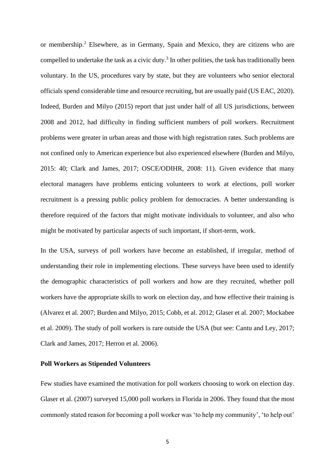or membership.<sup>2</sup> Elsewhere, as in Germany, Spain and Mexico, they are citizens who are compelled to undertake the task as a civic duty.<sup>3</sup> In other polities, the task has traditionally been voluntary. In the US, procedures vary by state, but they are volunteers who senior electoral officials spend considerable time and resource recruiting, but are usually paid (US EAC, 2020). Indeed, Burden and Milyo (2015) report that just under half of all US jurisdictions, between 2008 and 2012, had difficulty in finding sufficient numbers of poll workers. Recruitment problems were greater in urban areas and those with high registration rates. Such problems are not confined only to American experience but also experienced elsewhere (Burden and Milyo, 2015: 40; Clark and James, 2017; OSCE/ODIHR, 2008: 11). Given evidence that many electoral managers have problems enticing volunteers to work at elections, poll worker recruitment is a pressing public policy problem for democracies. A better understanding is therefore required of the factors that might motivate individuals to volunteer, and also who might be motivated by particular aspects of such important, if short-term, work.

In the USA, surveys of poll workers have become an established, if irregular, method of understanding their role in implementing elections. These surveys have been used to identify the demographic characteristics of poll workers and how are they recruited, whether poll workers have the appropriate skills to work on election day, and how effective their training is (Alvarez et al. 2007; Burden and Milyo, 2015; Cobb, et al. 2012; Glaser et al. 2007; Mockabee et al. 2009). The study of poll workers is rare outside the USA (but see: Cantu and Ley, 2017; Clark and James, 2017; Herron et al. 2006).

#### **Poll Workers as Stipended Volunteers**

Few studies have examined the motivation for poll workers choosing to work on election day. Glaser et al. (2007) surveyed 15,000 poll workers in Florida in 2006. They found that the most commonly stated reason for becoming a poll worker was 'to help my community', 'to help out'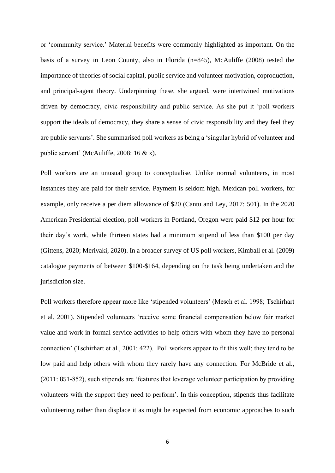or 'community service.' Material benefits were commonly highlighted as important. On the basis of a survey in Leon County, also in Florida (n=845), McAuliffe (2008) tested the importance of theories of social capital, public service and volunteer motivation, coproduction, and principal-agent theory. Underpinning these, she argued, were intertwined motivations driven by democracy, civic responsibility and public service. As she put it 'poll workers support the ideals of democracy, they share a sense of civic responsibility and they feel they are public servants'. She summarised poll workers as being a 'singular hybrid of volunteer and public servant' (McAuliffe, 2008: 16 & x).

Poll workers are an unusual group to conceptualise. Unlike normal volunteers, in most instances they are paid for their service. Payment is seldom high. Mexican poll workers, for example, only receive a per diem allowance of \$20 (Cantu and Ley, 2017: 501). In the 2020 American Presidential election, poll workers in Portland, Oregon were paid \$12 per hour for their day's work, while thirteen states had a minimum stipend of less than \$100 per day (Gittens, 2020; Merivaki, 2020). In a broader survey of US poll workers, Kimball et al. (2009) catalogue payments of between \$100-\$164, depending on the task being undertaken and the jurisdiction size.

Poll workers therefore appear more like 'stipended volunteers' (Mesch et al. 1998; Tschirhart et al. 2001). Stipended volunteers 'receive some financial compensation below fair market value and work in formal service activities to help others with whom they have no personal connection' (Tschirhart et al., 2001: 422). Poll workers appear to fit this well; they tend to be low paid and help others with whom they rarely have any connection. For McBride et al., (2011: 851-852), such stipends are 'features that leverage volunteer participation by providing volunteers with the support they need to perform'. In this conception, stipends thus facilitate volunteering rather than displace it as might be expected from economic approaches to such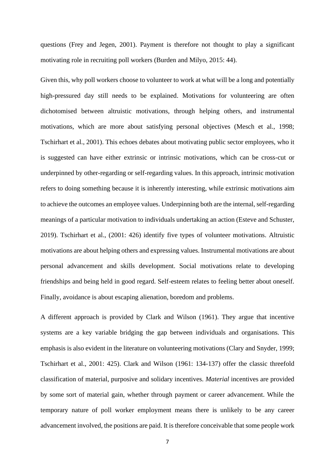questions (Frey and Jegen, 2001). Payment is therefore not thought to play a significant motivating role in recruiting poll workers (Burden and Milyo, 2015: 44).

Given this, why poll workers choose to volunteer to work at what will be a long and potentially high-pressured day still needs to be explained. Motivations for volunteering are often dichotomised between altruistic motivations, through helping others, and instrumental motivations, which are more about satisfying personal objectives (Mesch et al., 1998; Tschirhart et al., 2001). This echoes debates about motivating public sector employees, who it is suggested can have either extrinsic or intrinsic motivations, which can be cross-cut or underpinned by other-regarding or self-regarding values. In this approach, intrinsic motivation refers to doing something because it is inherently interesting, while extrinsic motivations aim to achieve the outcomes an employee values. Underpinning both are the internal, self-regarding meanings of a particular motivation to individuals undertaking an action (Esteve and Schuster, 2019). Tschirhart et al., (2001: 426) identify five types of volunteer motivations. Altruistic motivations are about helping others and expressing values. Instrumental motivations are about personal advancement and skills development. Social motivations relate to developing friendships and being held in good regard. Self-esteem relates to feeling better about oneself. Finally, avoidance is about escaping alienation, boredom and problems.

A different approach is provided by Clark and Wilson (1961). They argue that incentive systems are a key variable bridging the gap between individuals and organisations. This emphasis is also evident in the literature on volunteering motivations (Clary and Snyder, 1999; Tschirhart et al., 2001: 425). Clark and Wilson (1961: 134-137) offer the classic threefold classification of material, purposive and solidary incentives. *Material* incentives are provided by some sort of material gain, whether through payment or career advancement. While the temporary nature of poll worker employment means there is unlikely to be any career advancement involved, the positions are paid. It is therefore conceivable that some people work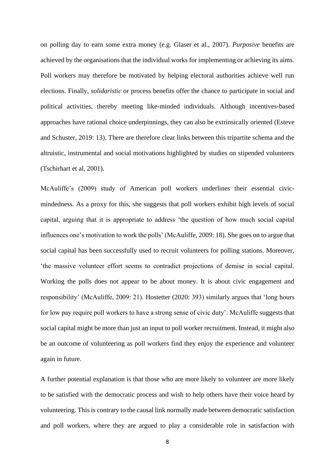on polling day to earn some extra money (e.g. Glaser et al., 2007). *Purposive* benefits are achieved by the organisations that the individual works for implementing or achieving its aims. Poll workers may therefore be motivated by helping electoral authorities achieve well run elections. Finally, *solidaristic* or process benefits offer the chance to participate in social and political activities, thereby meeting like-minded individuals. Although incentives-based approaches have rational choice underpinnings, they can also be extrinsically oriented (Esteve and Schuster, 2019: 13). There are therefore clear links between this tripartite schema and the altruistic, instrumental and social motivations highlighted by studies on stipended volunteers (Tschirhart et al, 2001).

McAuliffe's (2009) study of American poll workers underlines their essential civicmindedness. As a proxy for this, she suggests that poll workers exhibit high levels of social capital, arguing that it is appropriate to address 'the question of how much social capital influences one's motivation to work the polls' (McAuliffe, 2009: 18). She goes on to argue that social capital has been successfully used to recruit volunteers for polling stations. Moreover, 'the massive volunteer effort seems to contradict projections of demise in social capital. Working the polls does not appear to be about money. It is about civic engagement and responsibility' (McAuliffe, 2009: 21). Hostetter (2020: 393) similarly argues that 'long hours for low pay require poll workers to have a strong sense of civic duty'. McAuliffe suggests that social capital might be more than just an input to poll worker recruitment. Instead, it might also be an outcome of volunteering as poll workers find they enjoy the experience and volunteer again in future.

A further potential explanation is that those who are more likely to volunteer are more likely to be satisfied with the democratic process and wish to help others have their voice heard by volunteering. This is contrary to the causal link normally made between democratic satisfaction and poll workers, where they are argued to play a considerable role in satisfaction with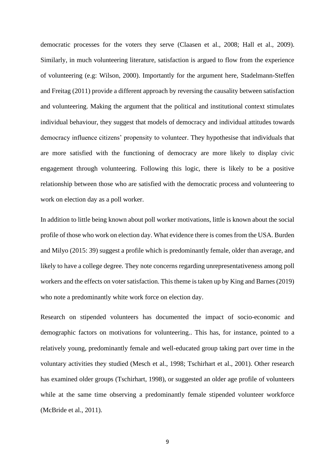democratic processes for the voters they serve (Claasen et al., 2008; Hall et al., 2009). Similarly, in much volunteering literature, satisfaction is argued to flow from the experience of volunteering (e.g: Wilson, 2000). Importantly for the argument here, Stadelmann-Steffen and Freitag (2011) provide a different approach by reversing the causality between satisfaction and volunteering. Making the argument that the political and institutional context stimulates individual behaviour, they suggest that models of democracy and individual attitudes towards democracy influence citizens' propensity to volunteer. They hypothesise that individuals that are more satisfied with the functioning of democracy are more likely to display civic engagement through volunteering. Following this logic, there is likely to be a positive relationship between those who are satisfied with the democratic process and volunteering to work on election day as a poll worker.

In addition to little being known about poll worker motivations, little is known about the social profile of those who work on election day. What evidence there is comes from the USA. Burden and Milyo (2015: 39) suggest a profile which is predominantly female, older than average, and likely to have a college degree. They note concerns regarding unrepresentativeness among poll workers and the effects on voter satisfaction. This theme is taken up by King and Barnes (2019) who note a predominantly white work force on election day.

Research on stipended volunteers has documented the impact of socio-economic and demographic factors on motivations for volunteering.. This has, for instance, pointed to a relatively young, predominantly female and well-educated group taking part over time in the voluntary activities they studied (Mesch et al., 1998; Tschirhart et al., 2001). Other research has examined older groups (Tschirhart, 1998), or suggested an older age profile of volunteers while at the same time observing a predominantly female stipended volunteer workforce (McBride et al., 2011).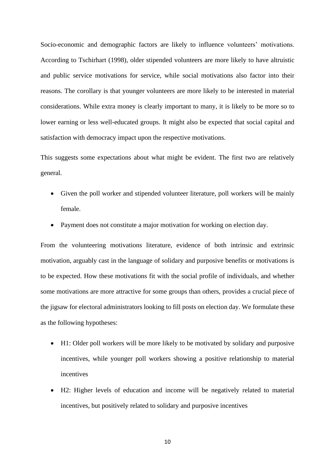Socio-economic and demographic factors are likely to influence volunteers' motivations. According to Tschirhart (1998), older stipended volunteers are more likely to have altruistic and public service motivations for service, while social motivations also factor into their reasons. The corollary is that younger volunteers are more likely to be interested in material considerations. While extra money is clearly important to many, it is likely to be more so to lower earning or less well-educated groups. It might also be expected that social capital and satisfaction with democracy impact upon the respective motivations.

This suggests some expectations about what might be evident. The first two are relatively general.

- Given the poll worker and stipended volunteer literature, poll workers will be mainly female.
- Payment does not constitute a major motivation for working on election day.

From the volunteering motivations literature, evidence of both intrinsic and extrinsic motivation, arguably cast in the language of solidary and purposive benefits or motivations is to be expected. How these motivations fit with the social profile of individuals, and whether some motivations are more attractive for some groups than others, provides a crucial piece of the jigsaw for electoral administrators looking to fill posts on election day. We formulate these as the following hypotheses:

- H1: Older poll workers will be more likely to be motivated by solidary and purposive incentives, while younger poll workers showing a positive relationship to material incentives
- H2: Higher levels of education and income will be negatively related to material incentives, but positively related to solidary and purposive incentives

10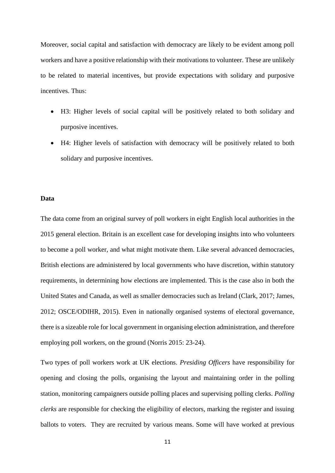Moreover, social capital and satisfaction with democracy are likely to be evident among poll workers and have a positive relationship with their motivations to volunteer. These are unlikely to be related to material incentives, but provide expectations with solidary and purposive incentives. Thus:

- H3: Higher levels of social capital will be positively related to both solidary and purposive incentives.
- H4: Higher levels of satisfaction with democracy will be positively related to both solidary and purposive incentives.

#### **Data**

The data come from an original survey of poll workers in eight English local authorities in the 2015 general election. Britain is an excellent case for developing insights into who volunteers to become a poll worker, and what might motivate them. Like several advanced democracies, British elections are administered by local governments who have discretion, within statutory requirements, in determining how elections are implemented. This is the case also in both the United States and Canada, as well as smaller democracies such as Ireland (Clark, 2017; James, 2012; OSCE/ODIHR, 2015). Even in nationally organised systems of electoral governance, there is a sizeable role for local government in organising election administration, and therefore employing poll workers, on the ground (Norris 2015: 23-24).

Two types of poll workers work at UK elections. *Presiding Officers* have responsibility for opening and closing the polls, organising the layout and maintaining order in the polling station, monitoring campaigners outside polling places and supervising polling clerks. *Polling clerks* are responsible for checking the eligibility of electors, marking the register and issuing ballots to voters. They are recruited by various means. Some will have worked at previous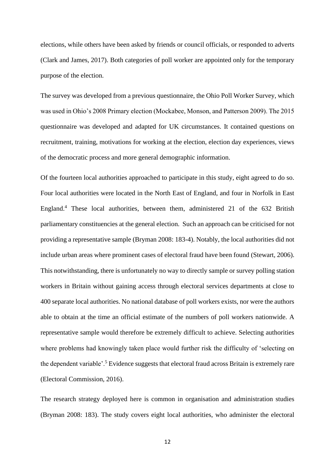elections, while others have been asked by friends or council officials, or responded to adverts (Clark and James, 2017). Both categories of poll worker are appointed only for the temporary purpose of the election.

The survey was developed from a previous questionnaire, the Ohio Poll Worker Survey, which was used in Ohio's 2008 Primary election (Mockabee, Monson, and Patterson 2009). The 2015 questionnaire was developed and adapted for UK circumstances. It contained questions on recruitment, training, motivations for working at the election, election day experiences, views of the democratic process and more general demographic information.

Of the fourteen local authorities approached to participate in this study, eight agreed to do so. Four local authorities were located in the North East of England, and four in Norfolk in East England.<sup>4</sup> These local authorities, between them, administered 21 of the 632 British parliamentary constituencies at the general election. Such an approach can be criticised for not providing a representative sample (Bryman 2008: 183-4). Notably, the local authorities did not include urban areas where prominent cases of electoral fraud have been found (Stewart, 2006). This notwithstanding, there is unfortunately no way to directly sample or survey polling station workers in Britain without gaining access through electoral services departments at close to 400 separate local authorities. No national database of poll workers exists, nor were the authors able to obtain at the time an official estimate of the numbers of poll workers nationwide. A representative sample would therefore be extremely difficult to achieve. Selecting authorities where problems had knowingly taken place would further risk the difficulty of 'selecting on the dependent variable'.<sup>5</sup> Evidence suggests that electoral fraud across Britain is extremely rare (Electoral Commission, 2016).

The research strategy deployed here is common in organisation and administration studies (Bryman 2008: 183). The study covers eight local authorities, who administer the electoral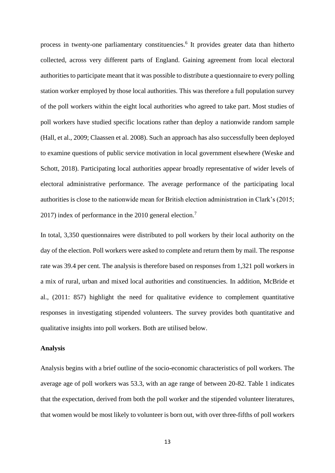process in twenty-one parliamentary constituencies.<sup>6</sup> It provides greater data than hitherto collected, across very different parts of England. Gaining agreement from local electoral authorities to participate meant that it was possible to distribute a questionnaire to every polling station worker employed by those local authorities. This was therefore a full population survey of the poll workers within the eight local authorities who agreed to take part. Most studies of poll workers have studied specific locations rather than deploy a nationwide random sample (Hall, et al., 2009; Claassen et al. 2008). Such an approach has also successfully been deployed to examine questions of public service motivation in local government elsewhere (Weske and Schott, 2018). Participating local authorities appear broadly representative of wider levels of electoral administrative performance. The average performance of the participating local authorities is close to the nationwide mean for British election administration in Clark's (2015; 2017) index of performance in the 2010 general election.<sup>7</sup>

In total, 3,350 questionnaires were distributed to poll workers by their local authority on the day of the election. Poll workers were asked to complete and return them by mail. The response rate was 39.4 per cent. The analysis is therefore based on responses from 1,321 poll workers in a mix of rural, urban and mixed local authorities and constituencies. In addition, McBride et al., (2011: 857) highlight the need for qualitative evidence to complement quantitative responses in investigating stipended volunteers. The survey provides both quantitative and qualitative insights into poll workers. Both are utilised below.

#### **Analysis**

Analysis begins with a brief outline of the socio-economic characteristics of poll workers. The average age of poll workers was 53.3, with an age range of between 20-82. Table 1 indicates that the expectation, derived from both the poll worker and the stipended volunteer literatures, that women would be most likely to volunteer is born out, with over three-fifths of poll workers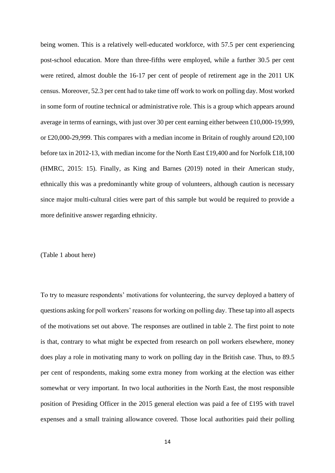being women. This is a relatively well-educated workforce, with 57.5 per cent experiencing post-school education. More than three-fifths were employed, while a further 30.5 per cent were retired, almost double the 16-17 per cent of people of retirement age in the 2011 UK census. Moreover, 52.3 per cent had to take time off work to work on polling day. Most worked in some form of routine technical or administrative role. This is a group which appears around average in terms of earnings, with just over 30 per cent earning either between £10,000-19,999, or £20,000-29,999. This compares with a median income in Britain of roughly around £20,100 before tax in 2012-13, with median income for the North East £19,400 and for Norfolk £18,100 (HMRC, 2015: 15). Finally, as King and Barnes (2019) noted in their American study, ethnically this was a predominantly white group of volunteers, although caution is necessary since major multi-cultural cities were part of this sample but would be required to provide a more definitive answer regarding ethnicity.

#### (Table 1 about here)

To try to measure respondents' motivations for volunteering, the survey deployed a battery of questions asking for poll workers' reasons for working on polling day. These tap into all aspects of the motivations set out above. The responses are outlined in table 2. The first point to note is that, contrary to what might be expected from research on poll workers elsewhere, money does play a role in motivating many to work on polling day in the British case. Thus, to 89.5 per cent of respondents, making some extra money from working at the election was either somewhat or very important. In two local authorities in the North East, the most responsible position of Presiding Officer in the 2015 general election was paid a fee of £195 with travel expenses and a small training allowance covered. Those local authorities paid their polling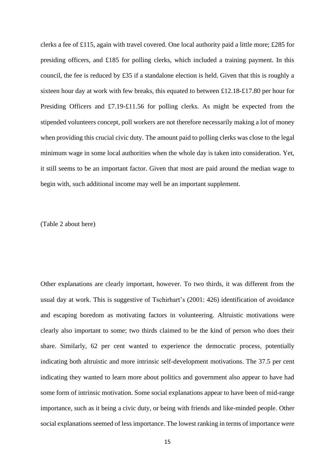clerks a fee of £115, again with travel covered. One local authority paid a little more; £285 for presiding officers, and £185 for polling clerks, which included a training payment. In this council, the fee is reduced by £35 if a standalone election is held. Given that this is roughly a sixteen hour day at work with few breaks, this equated to between £12.18-£17.80 per hour for Presiding Officers and £7.19-£11.56 for polling clerks. As might be expected from the stipended volunteers concept, poll workers are not therefore necessarily making a lot of money when providing this crucial civic duty. The amount paid to polling clerks was close to the legal minimum wage in some local authorities when the whole day is taken into consideration. Yet, it still seems to be an important factor. Given that most are paid around the median wage to begin with, such additional income may well be an important supplement.

(Table 2 about here)

Other explanations are clearly important, however. To two thirds, it was different from the usual day at work. This is suggestive of Tschirhart's (2001: 426) identification of avoidance and escaping boredom as motivating factors in volunteering. Altruistic motivations were clearly also important to some; two thirds claimed to be the kind of person who does their share. Similarly, 62 per cent wanted to experience the democratic process, potentially indicating both altruistic and more intrinsic self-development motivations. The 37.5 per cent indicating they wanted to learn more about politics and government also appear to have had some form of intrinsic motivation. Some social explanations appear to have been of mid-range importance, such as it being a civic duty, or being with friends and like-minded people. Other social explanations seemed of less importance. The lowest ranking in terms of importance were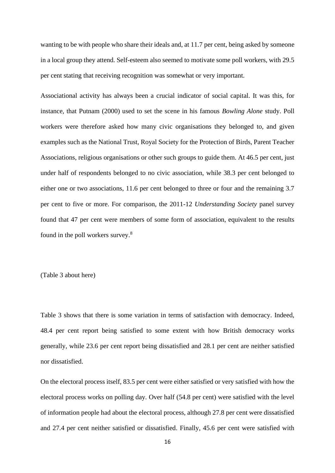wanting to be with people who share their ideals and, at 11.7 per cent, being asked by someone in a local group they attend. Self-esteem also seemed to motivate some poll workers, with 29.5 per cent stating that receiving recognition was somewhat or very important.

Associational activity has always been a crucial indicator of social capital. It was this, for instance, that Putnam (2000) used to set the scene in his famous *Bowling Alone* study. Poll workers were therefore asked how many civic organisations they belonged to, and given examples such as the National Trust, Royal Society for the Protection of Birds, Parent Teacher Associations, religious organisations or other such groups to guide them. At 46.5 per cent, just under half of respondents belonged to no civic association, while 38.3 per cent belonged to either one or two associations, 11.6 per cent belonged to three or four and the remaining 3.7 per cent to five or more. For comparison, the 2011-12 *Understanding Society* panel survey found that 47 per cent were members of some form of association, equivalent to the results found in the poll workers survey.<sup>8</sup>

(Table 3 about here)

Table 3 shows that there is some variation in terms of satisfaction with democracy. Indeed, 48.4 per cent report being satisfied to some extent with how British democracy works generally, while 23.6 per cent report being dissatisfied and 28.1 per cent are neither satisfied nor dissatisfied.

On the electoral process itself, 83.5 per cent were either satisfied or very satisfied with how the electoral process works on polling day. Over half (54.8 per cent) were satisfied with the level of information people had about the electoral process, although 27.8 per cent were dissatisfied and 27.4 per cent neither satisfied or dissatisfied. Finally, 45.6 per cent were satisfied with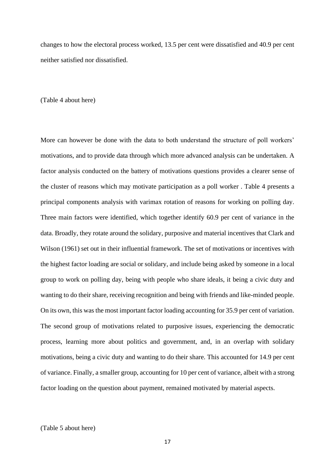changes to how the electoral process worked, 13.5 per cent were dissatisfied and 40.9 per cent neither satisfied nor dissatisfied.

#### (Table 4 about here)

More can however be done with the data to both understand the structure of poll workers' motivations, and to provide data through which more advanced analysis can be undertaken. A factor analysis conducted on the battery of motivations questions provides a clearer sense of the cluster of reasons which may motivate participation as a poll worker . Table 4 presents a principal components analysis with varimax rotation of reasons for working on polling day. Three main factors were identified, which together identify 60.9 per cent of variance in the data. Broadly, they rotate around the solidary, purposive and material incentives that Clark and Wilson (1961) set out in their influential framework. The set of motivations or incentives with the highest factor loading are social or solidary, and include being asked by someone in a local group to work on polling day, being with people who share ideals, it being a civic duty and wanting to do their share, receiving recognition and being with friends and like-minded people. On its own, this was the most important factor loading accounting for 35.9 per cent of variation. The second group of motivations related to purposive issues, experiencing the democratic process, learning more about politics and government, and, in an overlap with solidary motivations, being a civic duty and wanting to do their share. This accounted for 14.9 per cent of variance. Finally, a smaller group, accounting for 10 per cent of variance, albeit with a strong factor loading on the question about payment, remained motivated by material aspects.

(Table 5 about here)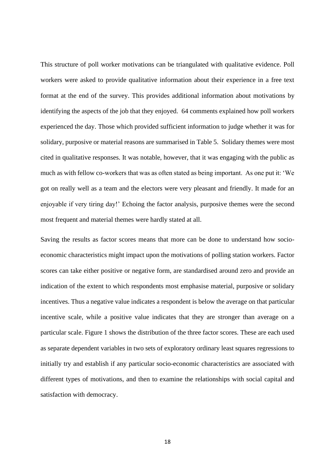This structure of poll worker motivations can be triangulated with qualitative evidence. Poll workers were asked to provide qualitative information about their experience in a free text format at the end of the survey. This provides additional information about motivations by identifying the aspects of the job that they enjoyed. 64 comments explained how poll workers experienced the day. Those which provided sufficient information to judge whether it was for solidary, purposive or material reasons are summarised in Table 5. Solidary themes were most cited in qualitative responses. It was notable, however, that it was engaging with the public as much as with fellow co-workers that was as often stated as being important. As one put it: 'We got on really well as a team and the electors were very pleasant and friendly. It made for an enjoyable if very tiring day!' Echoing the factor analysis, purposive themes were the second most frequent and material themes were hardly stated at all.

Saving the results as factor scores means that more can be done to understand how socioeconomic characteristics might impact upon the motivations of polling station workers. Factor scores can take either positive or negative form, are standardised around zero and provide an indication of the extent to which respondents most emphasise material, purposive or solidary incentives. Thus a negative value indicates a respondent is below the average on that particular incentive scale, while a positive value indicates that they are stronger than average on a particular scale. Figure 1 shows the distribution of the three factor scores. These are each used as separate dependent variables in two sets of exploratory ordinary least squares regressions to initially try and establish if any particular socio-economic characteristics are associated with different types of motivations, and then to examine the relationships with social capital and satisfaction with democracy.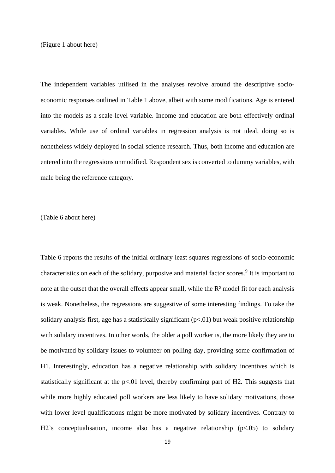(Figure 1 about here)

The independent variables utilised in the analyses revolve around the descriptive socioeconomic responses outlined in Table 1 above, albeit with some modifications. Age is entered into the models as a scale-level variable. Income and education are both effectively ordinal variables. While use of ordinal variables in regression analysis is not ideal, doing so is nonetheless widely deployed in social science research. Thus, both income and education are entered into the regressions unmodified. Respondent sex is converted to dummy variables, with male being the reference category.

(Table 6 about here)

Table 6 reports the results of the initial ordinary least squares regressions of socio-economic characteristics on each of the solidary, purposive and material factor scores.<sup>9</sup> It is important to note at the outset that the overall effects appear small, while the R² model fit for each analysis is weak. Nonetheless, the regressions are suggestive of some interesting findings. To take the solidary analysis first, age has a statistically significant  $(p<0.01)$  but weak positive relationship with solidary incentives. In other words, the older a poll worker is, the more likely they are to be motivated by solidary issues to volunteer on polling day, providing some confirmation of H1. Interestingly, education has a negative relationship with solidary incentives which is statistically significant at the  $p<01$  level, thereby confirming part of H2. This suggests that while more highly educated poll workers are less likely to have solidary motivations, those with lower level qualifications might be more motivated by solidary incentives. Contrary to H2's conceptualisation, income also has a negative relationship  $(p<0.05)$  to solidary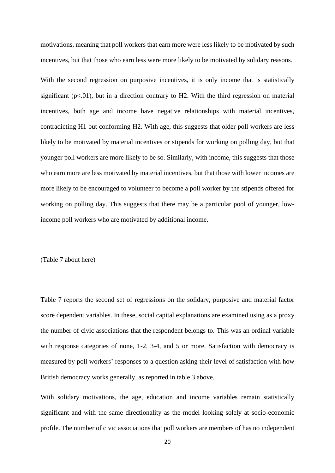motivations, meaning that poll workers that earn more were less likely to be motivated by such incentives, but that those who earn less were more likely to be motivated by solidary reasons.

With the second regression on purposive incentives, it is only income that is statistically significant  $(p<.01)$ , but in a direction contrary to H2. With the third regression on material incentives, both age and income have negative relationships with material incentives, contradicting H1 but conforming H2. With age, this suggests that older poll workers are less likely to be motivated by material incentives or stipends for working on polling day, but that younger poll workers are more likely to be so. Similarly, with income, this suggests that those who earn more are less motivated by material incentives, but that those with lower incomes are more likely to be encouraged to volunteer to become a poll worker by the stipends offered for working on polling day. This suggests that there may be a particular pool of younger, lowincome poll workers who are motivated by additional income.

(Table 7 about here)

Table 7 reports the second set of regressions on the solidary, purposive and material factor score dependent variables. In these, social capital explanations are examined using as a proxy the number of civic associations that the respondent belongs to. This was an ordinal variable with response categories of none, 1-2, 3-4, and 5 or more. Satisfaction with democracy is measured by poll workers' responses to a question asking their level of satisfaction with how British democracy works generally, as reported in table 3 above.

With solidary motivations, the age, education and income variables remain statistically significant and with the same directionality as the model looking solely at socio-economic profile. The number of civic associations that poll workers are members of has no independent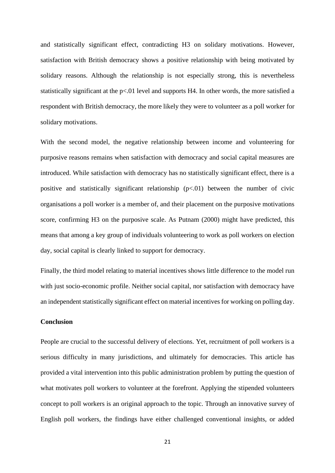and statistically significant effect, contradicting H3 on solidary motivations. However, satisfaction with British democracy shows a positive relationship with being motivated by solidary reasons. Although the relationship is not especially strong, this is nevertheless statistically significant at the p<.01 level and supports H4. In other words, the more satisfied a respondent with British democracy, the more likely they were to volunteer as a poll worker for solidary motivations.

With the second model, the negative relationship between income and volunteering for purposive reasons remains when satisfaction with democracy and social capital measures are introduced. While satisfaction with democracy has no statistically significant effect, there is a positive and statistically significant relationship  $(p<0.01)$  between the number of civic organisations a poll worker is a member of, and their placement on the purposive motivations score, confirming H3 on the purposive scale. As Putnam (2000) might have predicted, this means that among a key group of individuals volunteering to work as poll workers on election day, social capital is clearly linked to support for democracy.

Finally, the third model relating to material incentives shows little difference to the model run with just socio-economic profile. Neither social capital, nor satisfaction with democracy have an independent statistically significant effect on material incentives for working on polling day.

#### **Conclusion**

People are crucial to the successful delivery of elections. Yet, recruitment of poll workers is a serious difficulty in many jurisdictions, and ultimately for democracies. This article has provided a vital intervention into this public administration problem by putting the question of what motivates poll workers to volunteer at the forefront. Applying the stipended volunteers concept to poll workers is an original approach to the topic. Through an innovative survey of English poll workers, the findings have either challenged conventional insights, or added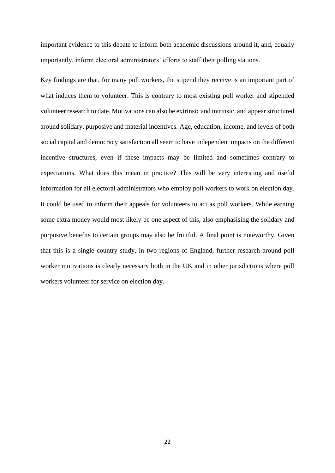important evidence to this debate to inform both academic discussions around it, and, equally importantly, inform electoral administrators' efforts to staff their polling stations.

Key findings are that, for many poll workers, the stipend they receive is an important part of what induces them to volunteer. This is contrary to most existing poll worker and stipended volunteer research to date. Motivations can also be extrinsic and intrinsic, and appear structured around solidary, purposive and material incentives. Age, education, income, and levels of both social capital and democracy satisfaction all seem to have independent impacts on the different incentive structures, even if these impacts may be limited and sometimes contrary to expectations. What does this mean in practice? This will be very interesting and useful information for all electoral administrators who employ poll workers to work on election day. It could be used to inform their appeals for volunteers to act as poll workers. While earning some extra money would most likely be one aspect of this, also emphasising the solidary and purposive benefits to certain groups may also be fruitful. A final point is noteworthy. Given that this is a single country study, in two regions of England, further research around poll worker motivations is clearly necessary both in the UK and in other jurisdictions where poll workers volunteer for service on election day.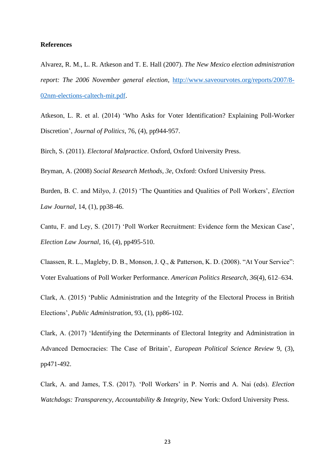#### **References**

Alvarez, R. M., L. R. Atkeson and T. E. Hall (2007). *The New Mexico election administration report: The 2006 November general election*, [http://www.saveourvotes.org/reports/2007/8-](http://www.saveourvotes.org/reports/2007/8-02nm-elections-caltech-mit.pdf) [02nm-elections-caltech-mit.pdf.](http://www.saveourvotes.org/reports/2007/8-02nm-elections-caltech-mit.pdf)

Atkeson, L. R. et al. (2014) 'Who Asks for Voter Identification? Explaining Poll-Worker Discretion', *Journal of Politics*, 76, (4), pp944-957.

Birch, S. (2011). *Electoral Malpractice*. Oxford, Oxford University Press.

Bryman, A. (2008) *Social Research Methods, 3e*, Oxford: Oxford University Press.

Burden, B. C. and Milyo, J. (2015) 'The Quantities and Qualities of Poll Workers', *Election Law Journal*, 14, (1), pp38-46.

Cantu, F. and Ley, S. (2017) 'Poll Worker Recruitment: Evidence form the Mexican Case', *Election Law Journal*, 16, (4), pp495-510.

Claassen, R. L., Magleby, D. B., Monson, J. Q., & Patterson, K. D. (2008). "At Your Service": Voter Evaluations of Poll Worker Performance. *American Politics Research*, *36*(4), 612–634.

Clark, A. (2015) 'Public Administration and the Integrity of the Electoral Process in British Elections', *Public Administration*, 93, (1), pp86-102.

Clark, A. (2017) 'Identifying the Determinants of Electoral Integrity and Administration in Advanced Democracies: The Case of Britain', *European Political Science Review* 9, (3), pp471-492.

Clark, A. and James, T.S. (2017). 'Poll Workers' in P. Norris and A. Nai (eds). *Election Watchdogs: Transparency, Accountability & Integrity*, New York: Oxford University Press.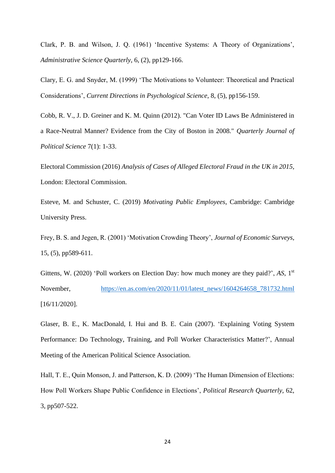Clark, P. B. and Wilson, J. Q. (1961) 'Incentive Systems: A Theory of Organizations', *Administrative Science Quarterly*, 6, (2), pp129-166.

Clary, E. G. and Snyder, M. (1999) 'The Motivations to Volunteer: Theoretical and Practical Considerations', *Current Directions in Psychological Science*, 8, (5), pp156-159.

Cobb, R. V., J. D. Greiner and K. M. Quinn (2012). "Can Voter ID Laws Be Administered in a Race-Neutral Manner? Evidence from the City of Boston in 2008." *Quarterly Journal of Political Science* 7(1): 1-33.

Electoral Commission (2016) *Analysis of Cases of Alleged Electoral Fraud in the UK in 2015*, London: Electoral Commission.

Esteve, M. and Schuster, C. (2019) *Motivating Public Employees*, Cambridge: Cambridge University Press.

Frey, B. S. and Jegen, R. (2001) 'Motivation Crowding Theory', *Journal of Economic Surveys*, 15, (5), pp589-611.

Gittens, W. (2020) 'Poll workers on Election Day: how much money are they paid?', *AS*, 1<sup>st</sup> November, [https://en.as.com/en/2020/11/01/latest\\_news/1604264658\\_781732.html](https://en.as.com/en/2020/11/01/latest_news/1604264658_781732.html) [16/11/2020].

Glaser, B. E., K. MacDonald, I. Hui and B. E. Cain (2007). 'Explaining Voting System Performance: Do Technology, Training, and Poll Worker Characteristics Matter?', Annual Meeting of the American Political Science Association.

Hall, T. E., Quin Monson, J. and Patterson, K. D. (2009) 'The Human Dimension of Elections: How Poll Workers Shape Public Confidence in Elections', *Political Research Quarterly*, 62, 3, pp507-522.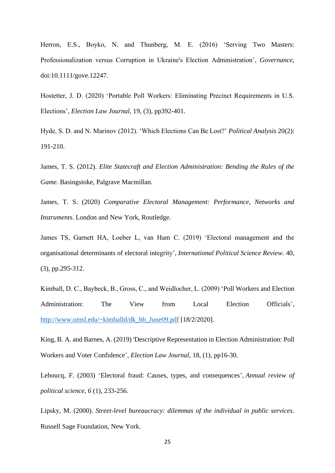Herron, E.S., Boyko, N. and Thunberg, M. E. (2016) 'Serving Two Masters: Professionalization versus Corruption in Ukraine's Election Administration', *Governance*, doi:10.1111/gove.12247.

Hostetter, J. D. (2020) 'Portable Poll Workers: Eliminating Precinct Requirements in U.S. Elections', *Election Law Journal*, 19, (3), pp392-401.

Hyde, S. D. and N. Marinov (2012). 'Which Elections Can Be Lost?' *Political Analysis* 20(2): 191-210.

James, T. S. (2012). *Elite Statecraft and Election Administration: Bending the Rules of the Game*. Basingstoke, Palgrave Macmillan.

James, T. S. (2020) *Comparative Electoral Management: Performance, Networks and Instruments*. London and New York, Routledge.

James TS, Garnett HA, Loeber L, van Ham C. (2019) 'Electoral management and the organisational determinants of electoral integrity', *International Political Science Review*. 40, (3), pp.295-312.

Kimball, D. C., Baybeck, B., Gross, C., and Weidlocher, L. (2009) 'Poll Workers and Election Administration: The View from Local Election Officials', [http://www.umsl.edu/~kimballd/dk\\_bb\\_June09.pdf](http://www.umsl.edu/~kimballd/dk_bb_June09.pdf) [18/2/2020].

King, B. A. and Barnes, A. (2019) 'Descriptive Representation in Election Administration: Poll Workers and Voter Confidence', *Election Law Journal*, 18, (1), pp16-30.

Lehoucq, F. (2003) 'Electoral fraud: Causes, types, and consequences', *Annual review of political science*, *6* (1), 233-256.

Lipsky, M. (2000). *Street-level bureaucracy: dilemmas of the individual in public services*. Russell Sage Foundation, New York.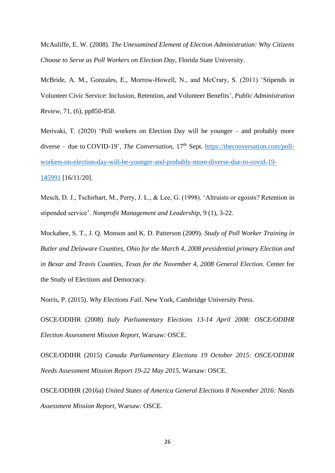McAuliffe, E. W. (2008). *The Unexamined Element of Election Administration: Why Citizens Choose to Serve as Poll Workers on Election Day*, Florida State University.

McBride, A. M., Gonzales, E., Morrow-Howell, N., and McCrary, S. (2011) 'Stipends in Volunteer Civic Service: Inclusion, Retention, and Volunteer Benefits', *Public Administration Review*, 71, (6), pp850-858.

Merivaki, T. (2020) 'Poll workers on Election Day will be younger – and probably more diverse – due to COVID-19', *The Conversation*, 17<sup>th</sup> Sept. [https://theconversation.com/poll](https://theconversation.com/poll-workers-on-election-day-will-be-younger-and-probably-more-diverse-due-to-covid-19-145991)[workers-on-election-day-will-be-younger-and-probably-more-diverse-due-to-covid-19-](https://theconversation.com/poll-workers-on-election-day-will-be-younger-and-probably-more-diverse-due-to-covid-19-145991) [145991](https://theconversation.com/poll-workers-on-election-day-will-be-younger-and-probably-more-diverse-due-to-covid-19-145991) [16/11/20].

Mesch, D. J., Tschirhart, M., Perry, J. L., & Lee, G. (1998). 'Altruists or egoists? Retention in stipended service'. *Nonprofit Management and Leadership*, 9 (1), 3-22.

Mockabee, S. T., J. Q. Monson and K. D. Patterson (2009). *Study of Poll Worker Training in Butler and Delaware Counties, Ohio for the March 4, 2008 presidential primary Election and in Bexar and Travis Counties, Texas for the November 4, 2008 General Election*. Center for the Study of Elections and Democracy.

Norris, P. (2015). *Why Elections Fail*. New York, Cambridge University Press.

OSCE/ODIHR (2008) *Italy Parliamentary Elections 13-14 April 2008: OSCE/ODIHR Election Assessment Mission Report*, Warsaw: OSCE.

OSCE/ODIHR (2015) *Canada Parliamentary Elections 19 October 2015: OSCE/ODIHR Needs Assessment Mission Report 19-22 May 2015*, Warsaw: OSCE.

OSCE/ODIHR (2016a) *United States of America General Elections 8 November 2016: Needs Assessment Mission Report*, Warsaw: OSCE.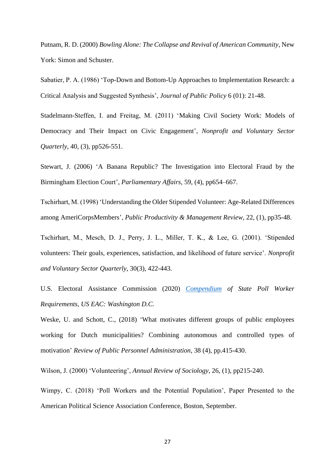Putnam, R. D. (2000) *Bowling Alone: The Collapse and Revival of American Community*, New York: Simon and Schuster.

Sabatier, P. A. (1986) 'Top-Down and Bottom-Up Approaches to Implementation Research: a Critical Analysis and Suggested Synthesis', *Journal of Public Policy* 6 (01): 21-48.

Stadelmann-Steffen, I. and Freitag, M. (2011) 'Making Civil Society Work: Models of Democracy and Their Impact on Civic Engagement', *Nonprofit and Voluntary Sector Quarterly*, 40, (3), pp526-551.

Stewart, J. (2006) 'A Banana Republic? The Investigation into Electoral Fraud by the Birmingham Election Court', *Parliamentary Affairs*, 59, (4), pp654–667.

Tschirhart, M. (1998) 'Understanding the Older Stipended Volunteer: Age-Related Differences among AmeriCorpsMembers', *Public Productivity & Management Review*, 22, (1), pp35-48.

Tschirhart, M., Mesch, D. J., Perry, J. L., Miller, T. K., & Lee, G. (2001). 'Stipended volunteers: Their goals, experiences, satisfaction, and likelihood of future service'. *Nonprofit and Voluntary Sector Quarterly*, 30(3), 422-443.

U.S. Electoral Assistance Commission (2020) *[Compendium](https://newcastle-my.sharepoint.com/personal/nac66_newcastle_ac_uk/Documents/PPA%20Poll%20Worker%20Motivations/PPA%20Resubmission/Compendium) of State Poll Worker Requirements, US EAC: Washington D.C.*

Weske, U. and Schott, C., (2018) 'What motivates different groups of public employees working for Dutch municipalities? Combining autonomous and controlled types of motivation' *Review of Public Personnel Administration*, 38 (4), pp.415-430.

Wilson, J. (2000) 'Volunteering', *Annual Review of Sociology*, 26, (1), pp215-240.

Wimpy, C. (2018) 'Poll Workers and the Potential Population', Paper Presented to the American Political Science Association Conference, Boston, September.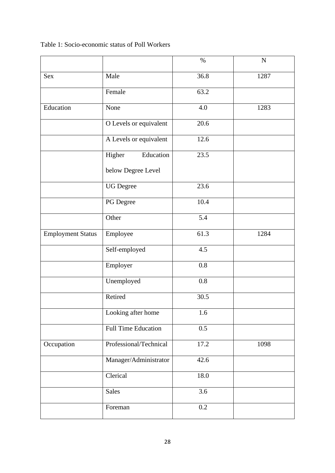Table 1: Socio-economic status of Poll Workers

|                          |                            | $\%$    | $\mathbf N$ |
|--------------------------|----------------------------|---------|-------------|
| <b>Sex</b>               | Male                       | 36.8    | 1287        |
|                          | Female                     | 63.2    |             |
| Education                | None                       | 4.0     | 1283        |
|                          | O Levels or equivalent     | 20.6    |             |
|                          | A Levels or equivalent     | 12.6    |             |
|                          | Education<br>Higher        | 23.5    |             |
|                          | below Degree Level         |         |             |
|                          | <b>UG</b> Degree           | 23.6    |             |
|                          | PG Degree                  | 10.4    |             |
|                          | Other                      | 5.4     |             |
| <b>Employment Status</b> | Employee                   | 61.3    | 1284        |
|                          | Self-employed              | 4.5     |             |
|                          | Employer                   | $0.8\,$ |             |
|                          | Unemployed                 | 0.8     |             |
|                          | Retired                    | 30.5    |             |
|                          | Looking after home         | 1.6     |             |
|                          | <b>Full Time Education</b> | 0.5     |             |
| Occupation               | Professional/Technical     | 17.2    | 1098        |
|                          | Manager/Administrator      | 42.6    |             |
|                          | Clerical                   | 18.0    |             |
|                          | <b>Sales</b>               | $3.6\,$ |             |
|                          | Foreman                    | $0.2\,$ |             |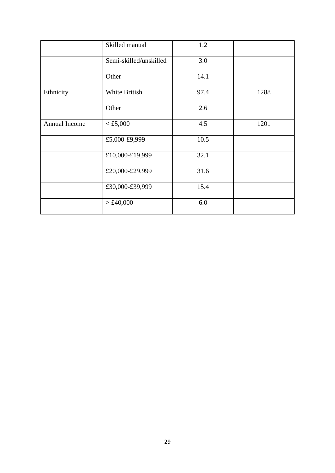|               | Skilled manual         | 1.2  |      |
|---------------|------------------------|------|------|
|               | Semi-skilled/unskilled | 3.0  |      |
|               | Other                  | 14.1 |      |
| Ethnicity     | White British          | 97.4 | 1288 |
|               | Other                  | 2.6  |      |
| Annual Income | $<$ £5,000             | 4.5  | 1201 |
|               | £5,000-£9,999          | 10.5 |      |
|               | £10,000-£19,999        | 32.1 |      |
|               | £20,000-£29,999        | 31.6 |      |
|               | £30,000-£39,999        | 15.4 |      |
|               | > £40,000              | 6.0  |      |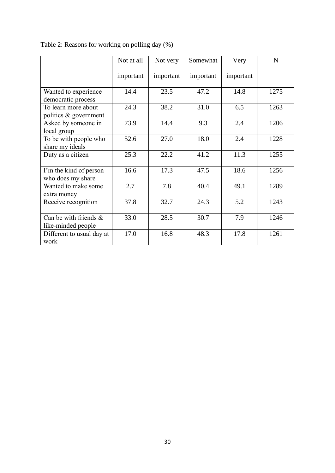|                           | Not at all | Not very  | Somewhat  | Very      | $\mathbf N$ |
|---------------------------|------------|-----------|-----------|-----------|-------------|
|                           | important  | important | important | important |             |
| Wanted to experience      | 14.4       | 23.5      | 47.2      | 14.8      | 1275        |
| democratic process        |            |           |           |           |             |
| To learn more about       | 24.3       | 38.2      | 31.0      | 6.5       | 1263        |
| politics & government     |            |           |           |           |             |
| Asked by someone in       | 73.9       | 14.4      | 9.3       | 2.4       | 1206        |
| local group               |            |           |           |           |             |
| To be with people who     | 52.6       | 27.0      | 18.0      | 2.4       | 1228        |
| share my ideals           |            |           |           |           |             |
| Duty as a citizen         | 25.3       | 22.2      | 41.2      | 11.3      | 1255        |
|                           |            |           |           |           |             |
| I'm the kind of person    | 16.6       | 17.3      | 47.5      | 18.6      | 1256        |
| who does my share         |            |           |           |           |             |
| Wanted to make some       | 2.7        | 7.8       | 40.4      | 49.1      | 1289        |
| extra money               |            |           |           |           |             |
| Receive recognition       | 37.8       | 32.7      | 24.3      | 5.2       | 1243        |
|                           |            |           |           |           |             |
| Can be with friends &     | 33.0       | 28.5      | 30.7      | 7.9       | 1246        |
| like-minded people        |            |           |           |           |             |
| Different to usual day at | 17.0       | 16.8      | 48.3      | 17.8      | 1261        |
| work                      |            |           |           |           |             |

Table 2: Reasons for working on polling day (%)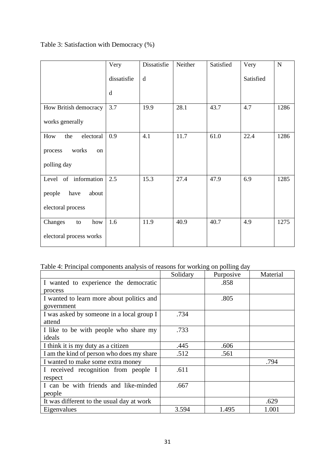# Table 3: Satisfaction with Democracy (%)

|                         | Very        | Dissatisfie | Neither | Satisfied | Very      | $\mathbf N$ |
|-------------------------|-------------|-------------|---------|-----------|-----------|-------------|
|                         | dissatisfie | d           |         |           | Satisfied |             |
|                         | d           |             |         |           |           |             |
| How British democracy   | 3.7         | 19.9        | 28.1    | 43.7      | 4.7       | 1286        |
| works generally         |             |             |         |           |           |             |
| electoral<br>How<br>the | 0.9         | 4.1         | 11.7    | 61.0      | 22.4      | 1286        |
| works<br>process<br>on  |             |             |         |           |           |             |
| polling day             |             |             |         |           |           |             |
| Level of information    | 2.5         | 15.3        | 27.4    | 47.9      | 6.9       | 1285        |
| about<br>people<br>have |             |             |         |           |           |             |
| electoral process       |             |             |         |           |           |             |
| Changes<br>how<br>to    | 1.6         | 11.9        | 40.9    | 40.7      | 4.9       | 1275        |
| electoral process works |             |             |         |           |           |             |

# Table 4: Principal components analysis of reasons for working on polling day

|                                           | Solidary | Purposive | Material |
|-------------------------------------------|----------|-----------|----------|
| I wanted to experience the democratic     |          | .858      |          |
| process                                   |          |           |          |
| I wanted to learn more about politics and |          | .805      |          |
| government                                |          |           |          |
| I was asked by someone in a local group I | .734     |           |          |
| attend                                    |          |           |          |
| I like to be with people who share my     | .733     |           |          |
| ideals                                    |          |           |          |
| I think it is my duty as a citizen        | .445     | .606      |          |
| I am the kind of person who does my share | .512     | .561      |          |
| I wanted to make some extra money         |          |           | .794     |
| I received recognition from people I      | .611     |           |          |
| respect                                   |          |           |          |
| I can be with friends and like-minded     | .667     |           |          |
| people                                    |          |           |          |
| It was different to the usual day at work |          |           | .629     |
| Eigenvalues                               | 3.594    | 1.495     | 1.001    |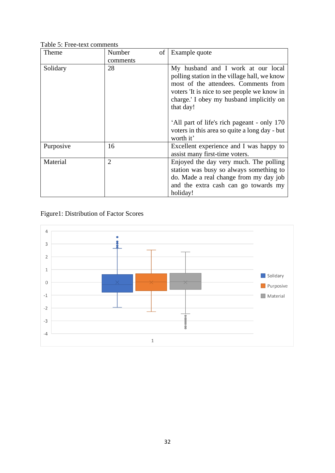Table 5: Free-text comments

| Theme     | Number<br>comments | Example quote<br>οf                                                                                                                                                                                                                |
|-----------|--------------------|------------------------------------------------------------------------------------------------------------------------------------------------------------------------------------------------------------------------------------|
| Solidary  | 28                 | My husband and I work at our local<br>polling station in the village hall, we know<br>most of the attendees. Comments from<br>voters 'It is nice to see people we know in<br>charge.' I obey my husband implicitly on<br>that day! |
|           |                    | 'All part of life's rich pageant - only 170<br>voters in this area so quite a long day - but<br>worth it'                                                                                                                          |
| Purposive | 16                 | Excellent experience and I was happy to<br>assist many first-time voters.                                                                                                                                                          |
| Material  | $\overline{2}$     | Enjoyed the day very much. The polling<br>station was busy so always something to<br>do. Made a real change from my day job<br>and the extra cash can go towards my<br>holiday!                                                    |

Figure1: Distribution of Factor Scores

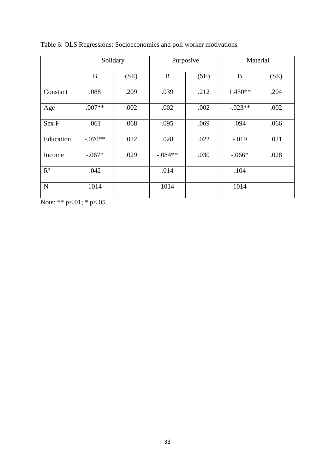|             |           | Solidary | Purposive |      | Material  |      |
|-------------|-----------|----------|-----------|------|-----------|------|
|             | B         | (SE)     | B         | (SE) | B         | (SE) |
| Constant    | .088      | .209     | .039      | .212 | $1.450**$ | .204 |
| Age         | $.007**$  | .002     | .002      | .002 | $-.023**$ | .002 |
| Sex F       | .061      | .068     | .095      | .069 | .094      | .066 |
| Education   | $-.070**$ | .022     | .028      | .022 | $-.019$   | .021 |
| Income      | $-.067*$  | .029     | $-.084**$ | .030 | $-.066*$  | .028 |
| $R^2$       | .042      |          | .014      |      | .104      |      |
| $\mathbf N$ | 1014      |          | 1014      |      | 1014      |      |

Table 6: OLS Regressions: Socioeconomics and poll worker motivations

Note: \*\*  $p<.01$ ; \*  $p<.05$ .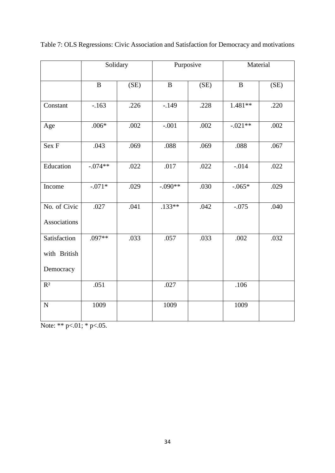|                                           | Solidary     |      |              | Purposive |              | Material |
|-------------------------------------------|--------------|------|--------------|-----------|--------------|----------|
|                                           | $\mathbf{B}$ | (SE) | $\mathbf{B}$ | (SE)      | $\mathbf{B}$ | (SE)     |
| Constant                                  | $-.163$      | .226 | $-.149$      | .228      | $1.481**$    | .220     |
| Age                                       | $.006*$      | .002 | $-.001$      | .002      | $-.021**$    | .002     |
| Sex F                                     | .043         | .069 | .088         | .069      | .088         | .067     |
| Education                                 | $-.074**$    | .022 | .017         | .022      | $-.014$      | .022     |
| Income                                    | $-.071*$     | .029 | $-.090**$    | .030      | $-.065*$     | .029     |
| No. of Civic<br>Associations              | .027         | .041 | $.133**$     | .042      | $-.075$      | .040     |
| Satisfaction<br>with British<br>Democracy | .097**       | .033 | .057         | .033      | .002         | .032     |
| $R^2$                                     | .051         |      | .027         |           | .106         |          |
| ${\bf N}$                                 | 1009         |      | 1009         |           | 1009         |          |

Table 7: OLS Regressions: Civic Association and Satisfaction for Democracy and motivations

Note: \*\*  $p<.01$ ; \*  $p<.05$ .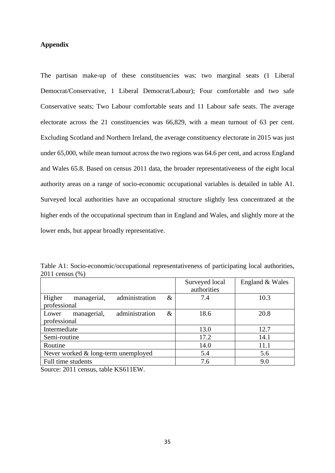### **Appendix**

The partisan make-up of these constituencies was: two marginal seats (1 Liberal Democrat/Conservative, 1 Liberal Democrat/Labour); Four comfortable and two safe Conservative seats; Two Labour comfortable seats and 11 Labour safe seats. The average electorate across the 21 constituencies was 66,829, with a mean turnout of 63 per cent. Excluding Scotland and Northern Ireland, the average constituency electorate in 2015 was just under 65,000, while mean turnout across the two regions was 64.6 per cent, and across England and Wales 65.8. Based on census 2011 data, the broader representativeness of the eight local authority areas on a range of socio-economic occupational variables is detailed in table A1. Surveyed local authorities have an occupational structure slightly less concentrated at the higher ends of the occupational spectrum than in England and Wales, and slightly more at the lower ends, but appear broadly representative.

| Table A1: Socio-economic/occupational representativeness of participating local authorities, |  |  |
|----------------------------------------------------------------------------------------------|--|--|
| 2011 census (%)                                                                              |  |  |

|                                         |      | Surveyed local | England & Wales |
|-----------------------------------------|------|----------------|-----------------|
|                                         |      | authorities    |                 |
| administration<br>Higher<br>managerial, | $\&$ | 7.4            | 10.3            |
| professional                            |      |                |                 |
| administration<br>managerial,<br>Lower  | &    | 18.6           | 20.8            |
| professional                            |      |                |                 |
| Intermediate                            |      | 13.0           | 12.7            |
| Semi-routine                            |      | 17.2           | 14.1            |
| Routine                                 |      | 14.0           | 11.1            |
| Never worked $&$ long-term unemployed   |      | 5.4            | 5.6             |
| Full time students                      |      | 7.6            | 9.0             |

Source: 2011 census, table KS611EW.